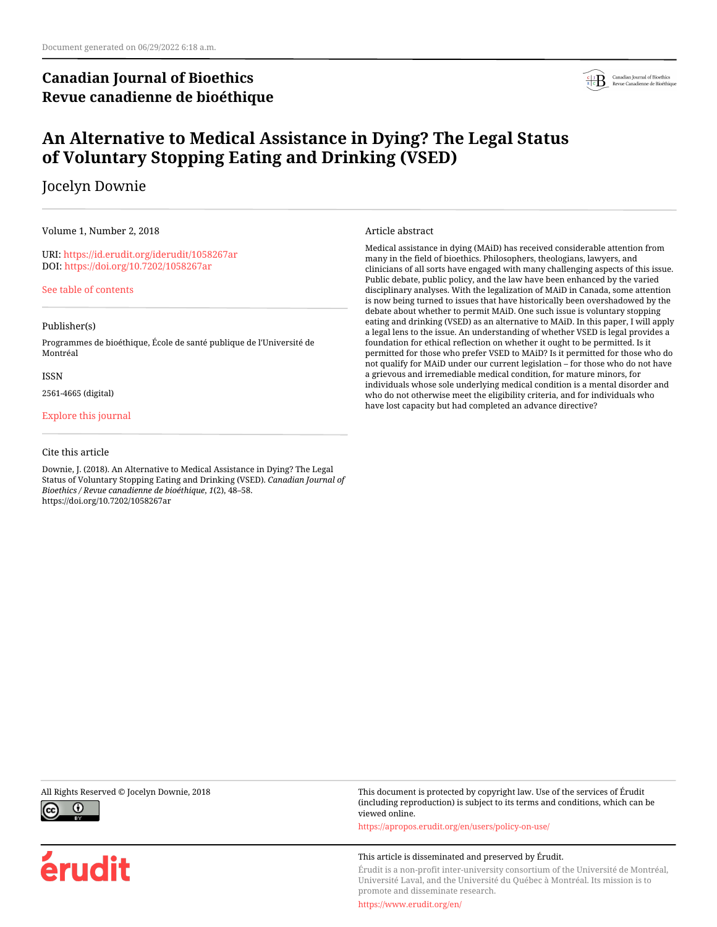# **Canadian Journal of Bioethics Revue canadienne de bioéthique**



# **An Alternative to Medical Assistance in Dying? The Legal Status of Voluntary Stopping Eating and Drinking (VSED)**

Jocelyn Downie

Volume 1, Number 2, 2018

URI:<https://id.erudit.org/iderudit/1058267ar> DOI:<https://doi.org/10.7202/1058267ar>

[See table of contents](https://www.erudit.org/en/journals/bioethics/2018-v1-n2-bioethics04466/)

## Publisher(s)

Programmes de bioéthique, École de santé publique de l'Université de Montréal

#### ISSN

2561-4665 (digital)

## [Explore this journal](https://www.erudit.org/en/journals/bioethics/)

## Cite this article

Downie, J. (2018). An Alternative to Medical Assistance in Dying? The Legal Status of Voluntary Stopping Eating and Drinking (VSED). *Canadian Journal of Bioethics / Revue canadienne de bioéthique*, *1*(2), 48–58. https://doi.org/10.7202/1058267ar

Article abstract

Medical assistance in dying (MAiD) has received considerable attention from many in the field of bioethics. Philosophers, theologians, lawyers, and clinicians of all sorts have engaged with many challenging aspects of this issue. Public debate, public policy, and the law have been enhanced by the varied disciplinary analyses. With the legalization of MAiD in Canada, some attention is now being turned to issues that have historically been overshadowed by the debate about whether to permit MAiD. One such issue is voluntary stopping eating and drinking (VSED) as an alternative to MAiD. In this paper, I will apply a legal lens to the issue. An understanding of whether VSED is legal provides a foundation for ethical reflection on whether it ought to be permitted. Is it permitted for those who prefer VSED to MAiD? Is it permitted for those who do not qualify for MAiD under our current legislation – for those who do not have a grievous and irremediable medical condition, for mature minors, for individuals whose sole underlying medical condition is a mental disorder and who do not otherwise meet the eligibility criteria, and for individuals who have lost capacity but had completed an advance directive?



érudit

All Rights Reserved © Jocelyn Downie, 2018 This document is protected by copyright law. Use of the services of Érudit (including reproduction) is subject to its terms and conditions, which can be viewed online.

<https://apropos.erudit.org/en/users/policy-on-use/>

#### This article is disseminated and preserved by Érudit.

Érudit is a non-profit inter-university consortium of the Université de Montréal, Université Laval, and the Université du Québec à Montréal. Its mission is to promote and disseminate research.

<https://www.erudit.org/en/>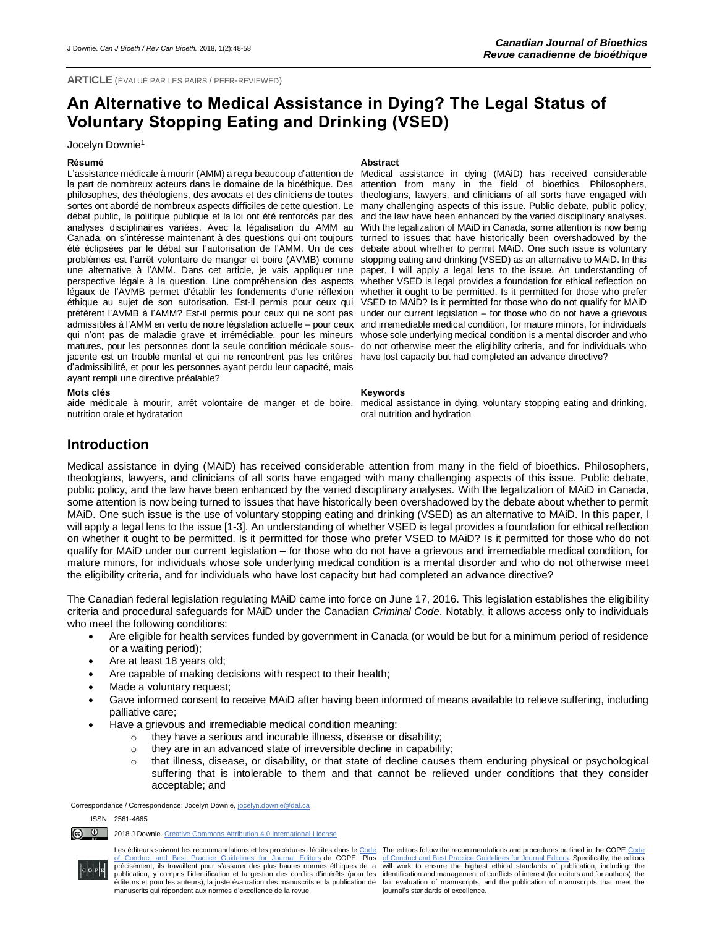# **An Alternative to Medical Assistance in Dying? The Legal Status of Voluntary Stopping Eating and Drinking (VSED)**

#### Jocelyn Downie<sup>1</sup>

#### **Résumé Abstract**

L'assistance médicale à mourir (AMM) a reçu beaucoup d'attention de la part de nombreux acteurs dans le domaine de la bioéthique. Des philosophes, des théologiens, des avocats et des cliniciens de toutes sortes ont abordé de nombreux aspects difficiles de cette question. Le débat public, la politique publique et la loi ont été renforcés par des analyses disciplinaires variées. Avec la légalisation du AMM au Canada, on s'intéresse maintenant à des questions qui ont toujours été éclipsées par le débat sur l'autorisation de l'AMM. Un de ces problèmes est l'arrêt volontaire de manger et boire (AVMB) comme une alternative à l'AMM. Dans cet article, je vais appliquer une perspective légale à la question. Une compréhension des aspects légaux de l'AVMB permet d'établir les fondements d'une réflexion éthique au sujet de son autorisation. Est-il permis pour ceux qui préfèrent l'AVMB à l'AMM? Est-il permis pour ceux qui ne sont pas admissibles à l'AMM en vertu de notre législation actuelle – pour ceux qui n'ont pas de maladie grave et irrémédiable, pour les mineurs matures, pour les personnes dont la seule condition médicale sousjacente est un trouble mental et qui ne rencontrent pas les critères have lost capacity but had completed an advance directive? d'admissibilité, et pour les personnes ayant perdu leur capacité, mais ayant rempli une directive préalable?

Medical assistance in dying (MAiD) has received considerable attention from many in the field of bioethics. Philosophers, theologians, lawyers, and clinicians of all sorts have engaged with many challenging aspects of this issue. Public debate, public policy, and the law have been enhanced by the varied disciplinary analyses. With the legalization of MAiD in Canada, some attention is now being turned to issues that have historically been overshadowed by the debate about whether to permit MAiD. One such issue is voluntary stopping eating and drinking (VSED) as an alternative to MAiD. In this paper, I will apply a legal lens to the issue. An understanding of whether VSED is legal provides a foundation for ethical reflection on whether it ought to be permitted. Is it permitted for those who prefer VSED to MAiD? Is it permitted for those who do not qualify for MAiD under our current legislation – for those who do not have a grievous and irremediable medical condition, for mature minors, for individuals whose sole underlying medical condition is a mental disorder and who do not otherwise meet the eligibility criteria, and for individuals who

#### **Mots clés Keywords**

aide médicale à mourir, arrêt volontaire de manger et de boire, medical assistance in dying, voluntary stopping eating and drinking, oral nutrition and hydration

# nutrition orale et hydratation

**Introduction**

Medical assistance in dying (MAiD) has received considerable attention from many in the field of bioethics. Philosophers, theologians, lawyers, and clinicians of all sorts have engaged with many challenging aspects of this issue. Public debate, public policy, and the law have been enhanced by the varied disciplinary analyses. With the legalization of MAiD in Canada, some attention is now being turned to issues that have historically been overshadowed by the debate about whether to permit MAiD. One such issue is the use of voluntary stopping eating and drinking (VSED) as an alternative to MAiD. In this paper, I will apply a legal lens to the issue [1-3]. An understanding of whether VSED is legal provides a foundation for ethical reflection on whether it ought to be permitted. Is it permitted for those who prefer VSED to MAiD? Is it permitted for those who do not qualify for MAiD under our current legislation – for those who do not have a grievous and irremediable medical condition, for mature minors, for individuals whose sole underlying medical condition is a mental disorder and who do not otherwise meet the eligibility criteria, and for individuals who have lost capacity but had completed an advance directive?

The Canadian federal legislation regulating MAiD came into force on June 17, 2016. This legislation establishes the eligibility criteria and procedural safeguards for MAiD under the Canadian *Criminal Code*. Notably, it allows access only to individuals who meet the following conditions:

- Are eligible for health services funded by government in Canada (or would be but for a minimum period of residence or a waiting period);
- Are at least 18 years old;
- Are capable of making decisions with respect to their health;
- Made a voluntary request;
- Gave informed consent to receive MAiD after having been informed of means available to relieve suffering, including palliative care;
- Have a grievous and irremediable medical condition meaning:
	- o they have a serious and incurable illness, disease or disability;
	- $\circ$  they are in an advanced state of irreversible decline in capability;
	- $\circ$  that illness, disease, or disability, or that state of decline causes them enduring physical or psychological suffering that is intolerable to them and that cannot be relieved under conditions that they consider acceptable; and

Correspondance / Correspondence: Jocelyn Downie[, jocelyn.downie@dal.ca](mailto:jocelyn.downie@dal.ca)

#### ISSN 2561-4665

Les éditeurs suivront les recommandations et les procédures décrites dans le [Code](http://publicationethics.org/resources/code-conduct) The editors follow the recommendations and procedures outlined in the COPE Code<br>[of Conduct and Best Practice Guidelines for Journal Editors](http://publicationethics.org/resources/code-conduct) précisément, ils travaillent pour s'assurer des plus hautes normes éthiques de la publication, y compris l'identification et la gestion des conflits d'intérêts (pour les éditeurs et pour les auteurs), la juste évaluation des manuscrits et la publication de manuscrits qui répondent aux normes d'excellence de la revue.

will work to ensure the highest ethical standards of publication, including: the identification and management of conflicts of interest (for editors and for authors), the fair evaluation of manuscripts, and the publication of manuscripts that meet the journal's standards of excellence.



<sup>&</sup>lt;u>ේ</u> 2018 J Downie[. Creative Commons Attribution 4.0 International License](http://creativecommons.org/licenses/by/4.0/)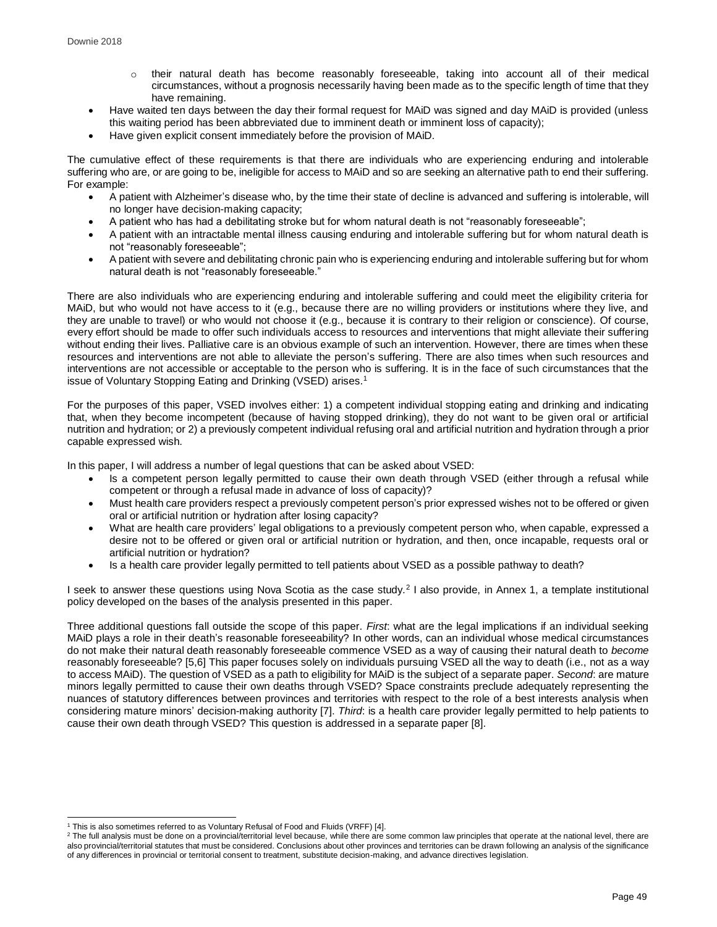- o their natural death has become reasonably foreseeable, taking into account all of their medical circumstances, without a prognosis necessarily having been made as to the specific length of time that they have remaining.
- Have waited ten days between the day their formal request for MAiD was signed and day MAiD is provided (unless this waiting period has been abbreviated due to imminent death or imminent loss of capacity);
- Have given explicit consent immediately before the provision of MAiD.

The cumulative effect of these requirements is that there are individuals who are experiencing enduring and intolerable suffering who are, or are going to be, ineligible for access to MAiD and so are seeking an alternative path to end their suffering. For example:

- A patient with Alzheimer's disease who, by the time their state of decline is advanced and suffering is intolerable, will no longer have decision-making capacity;
- A patient who has had a debilitating stroke but for whom natural death is not "reasonably foreseeable";
- A patient with an intractable mental illness causing enduring and intolerable suffering but for whom natural death is not "reasonably foreseeable";
- A patient with severe and debilitating chronic pain who is experiencing enduring and intolerable suffering but for whom natural death is not "reasonably foreseeable."

There are also individuals who are experiencing enduring and intolerable suffering and could meet the eligibility criteria for MAiD, but who would not have access to it (e.g., because there are no willing providers or institutions where they live, and they are unable to travel) or who would not choose it (e.g., because it is contrary to their religion or conscience). Of course, every effort should be made to offer such individuals access to resources and interventions that might alleviate their suffering without ending their lives. Palliative care is an obvious example of such an intervention. However, there are times when these resources and interventions are not able to alleviate the person's suffering. There are also times when such resources and interventions are not accessible or acceptable to the person who is suffering. It is in the face of such circumstances that the issue of Voluntary Stopping Eating and Drinking (VSED) arises. 1

For the purposes of this paper, VSED involves either: 1) a competent individual stopping eating and drinking and indicating that, when they become incompetent (because of having stopped drinking), they do not want to be given oral or artificial nutrition and hydration; or 2) a previously competent individual refusing oral and artificial nutrition and hydration through a prior capable expressed wish.

In this paper, I will address a number of legal questions that can be asked about VSED:

- Is a competent person legally permitted to cause their own death through VSED (either through a refusal while competent or through a refusal made in advance of loss of capacity)?
- Must health care providers respect a previously competent person's prior expressed wishes not to be offered or given oral or artificial nutrition or hydration after losing capacity?
- What are health care providers' legal obligations to a previously competent person who, when capable, expressed a desire not to be offered or given oral or artificial nutrition or hydration, and then, once incapable, requests oral or artificial nutrition or hydration?
- Is a health care provider legally permitted to tell patients about VSED as a possible pathway to death?

I seek to answer these questions using Nova Scotia as the case study.<sup>2</sup> I also provide, in Annex 1, a template institutional policy developed on the bases of the analysis presented in this paper.

Three additional questions fall outside the scope of this paper. *First*: what are the legal implications if an individual seeking MAiD plays a role in their death's reasonable foreseeability? In other words, can an individual whose medical circumstances do not make their natural death reasonably foreseeable commence VSED as a way of causing their natural death to *become* reasonably foreseeable? [5,6] This paper focuses solely on individuals pursuing VSED all the way to death (i.e., not as a way to access MAiD). The question of VSED as a path to eligibility for MAiD is the subject of a separate paper. *Second*: are mature minors legally permitted to cause their own deaths through VSED? Space constraints preclude adequately representing the nuances of statutory differences between provinces and territories with respect to the role of a best interests analysis when considering mature minors' decision-making authority [7]. *Third*: is a health care provider legally permitted to help patients to cause their own death through VSED? This question is addressed in a separate paper [8].

l  $1$  This is also sometimes referred to as Voluntary Refusal of Food and Fluids (VRFF) [4].

<sup>&</sup>lt;sup>2</sup> The full analysis must be done on a provincial/territorial level because, while there are some common law principles that operate at the national level, there are also provincial/territorial statutes that must be considered. Conclusions about other provinces and territories can be drawn following an analysis of the significance of any differences in provincial or territorial consent to treatment, substitute decision-making, and advance directives legislation.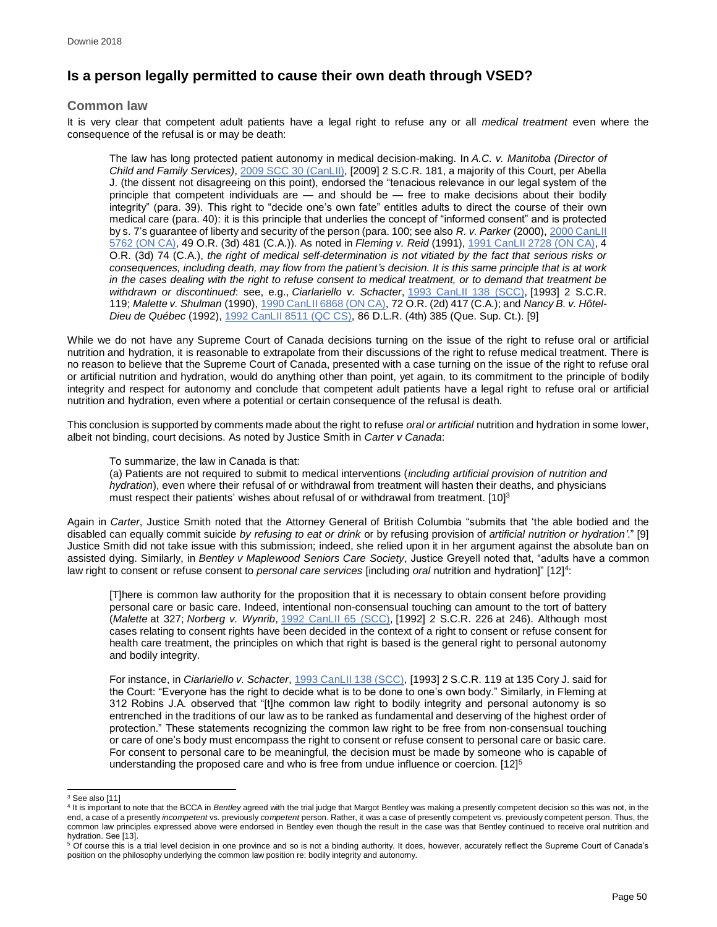## **Is a person legally permitted to cause their own death through VSED?**

## **Common law**

It is very clear that competent adult patients have a legal right to refuse any or all *medical treatment* even where the consequence of the refusal is or may be death:

The law has long protected patient autonomy in medical decision-making. In *A.C. v. Manitoba (Director of Child and Family Services)*, [2009 SCC 30](https://www.canlii.org/en/ca/scc/doc/2009/2009scc30/2009scc30.html) (CanLII), [2009] 2 S.C.R. 181, a majority of this Court, per Abella J. (the dissent not disagreeing on this point), endorsed the "tenacious relevance in our legal system of the principle that competent individuals are — and should be — free to make decisions about their bodily integrity" (para. 39). This right to "decide one's own fate" entitles adults to direct the course of their own medical care (para. 40): it is this principle that underlies the concept of "informed consent" and is protected by s. 7's guarantee of liberty and security of the person (para. 100; see also *R. v. Parker* (2000), [2000 CanLII](https://www.canlii.org/en/on/onca/doc/2000/2000canlii5762/2000canlii5762.html)  [5762 \(ON CA\),](https://www.canlii.org/en/on/onca/doc/2000/2000canlii5762/2000canlii5762.html) 49 O.R. (3d) 481 (C.A.)). As noted in *Fleming v. Reid* (1991), [1991 CanLII 2728 \(ON CA\),](https://www.canlii.org/en/on/onca/doc/1991/1991canlii2728/1991canlii2728.html) 4 O.R. (3d) 74 (C.A.), *the right of medical self-determination is not vitiated by the fact that serious risks or consequences, including death, may flow from the patient's decision. It is this same principle that is at work in the cases dealing with the right to refuse consent to medical treatment, or to demand that treatment be withdrawn or discontinued*: see, e.g., *Ciarlariello v. Schacter*, [1993 CanLII 138 \(SCC\),](https://www.canlii.org/en/ca/scc/doc/1993/1993canlii138/1993canlii138.html) [1993] 2 S.C.R. 119; *Malette v. Shulman* (1990), [1990 CanLII 6868 \(ON CA\),](https://www.canlii.org/en/on/onca/doc/1990/1990canlii6868/1990canlii6868.html) 72 O.R. (2d) 417 (C.A.); and *Nancy B. v. Hôtel-Dieu de Québec* (1992), [1992 CanLII 8511 \(QC CS\),](https://www.canlii.org/en/qc/qccs/doc/1992/1992canlii8511/1992canlii8511.html) 86 D.L.R. (4th) 385 (Que. Sup. Ct.). [9]

While we do not have any Supreme Court of Canada decisions turning on the issue of the right to refuse oral or artificial nutrition and hydration, it is reasonable to extrapolate from their discussions of the right to refuse medical treatment. There is no reason to believe that the Supreme Court of Canada, presented with a case turning on the issue of the right to refuse oral or artificial nutrition and hydration, would do anything other than point, yet again, to its commitment to the principle of bodily integrity and respect for autonomy and conclude that competent adult patients have a legal right to refuse oral or artificial nutrition and hydration, even where a potential or certain consequence of the refusal is death.

This conclusion is supported by comments made about the right to refuse *oral or artificial* nutrition and hydration in some lower, albeit not binding, court decisions. As noted by Justice Smith in *Carter v Canada*:

To summarize, the law in Canada is that:

(a) Patients are not required to submit to medical interventions (*including artificial provision of nutrition and hydration*), even where their refusal of or withdrawal from treatment will hasten their deaths, and physicians must respect their patients' wishes about refusal of or withdrawal from treatment. [10]<sup>3</sup>

Again in *Carter*, Justice Smith noted that the Attorney General of British Columbia "submits that 'the able bodied and the disabled can equally commit suicide *by refusing to eat or drink* or by refusing provision of *artificial nutrition or hydration'*." [9] Justice Smith did not take issue with this submission; indeed, she relied upon it in her argument against the absolute ban on assisted dying. Similarly, in *Bentley v Maplewood Seniors Care Society*, Justice Greyell noted that, "adults have a common law right to consent or refuse consent to *personal care services* [including *oral* nutrition and hydration]" [12]<sup>4</sup>:

[T]here is common law authority for the proposition that it is necessary to obtain consent before providing personal care or basic care. Indeed, intentional non-consensual touching can amount to the tort of battery (*Malette* at 327; *Norberg v. Wynrib*, [1992 CanLII 65 \(SCC\),](https://www.canlii.org/en/ca/scc/doc/1992/1992canlii65/1992canlii65.html) [1992] 2 S.C.R. 226 at 246). Although most cases relating to consent rights have been decided in the context of a right to consent or refuse consent for health care treatment, the principles on which that right is based is the general right to personal autonomy and bodily integrity.

For instance, in *Ciarlariello v. Schacter*, [1993 CanLII 138 \(SCC\),](https://www.canlii.org/en/ca/scc/doc/1993/1993canlii138/1993canlii138.html) [1993] 2 S.C.R. 119 at 135 Cory J. said for the Court: "Everyone has the right to decide what is to be done to one's own body." Similarly, in Fleming at 312 Robins J.A. observed that "[t]he common law right to bodily integrity and personal autonomy is so entrenched in the traditions of our law as to be ranked as fundamental and deserving of the highest order of protection." These statements recognizing the common law right to be free from non-consensual touching or care of one's body must encompass the right to consent or refuse consent to personal care or basic care. For consent to personal care to be meaningful, the decision must be made by someone who is capable of understanding the proposed care and who is free from undue influence or coercion. [12]<sup>5</sup>

l  $3$  See also [11]

<sup>4</sup> It is important to note that the BCCA in *Bentley* agreed with the trial judge that Margot Bentley was making a presently competent decision so this was not, in the end, a case of a presently *incompetent* vs. previously *competent* person. Rather, it was a case of presently competent vs. previously competent person. Thus, the common law principles expressed above were endorsed in Bentley even though the result in the case was that Bentley continued to receive oral nutrition and

hydration. See [13].<br><sup>5</sup> Of course this is a trial level decision in one province and so is not a binding authority. It does, however, accurately reflect the Supreme Court of Canada's position on the philosophy underlying the common law position re: bodily integrity and autonomy.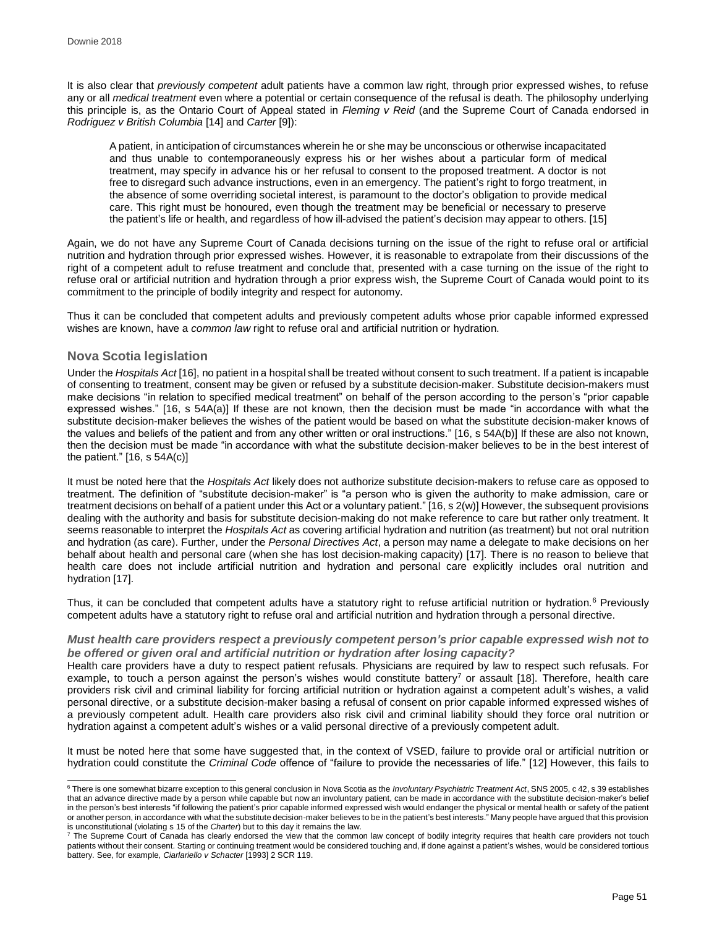It is also clear that *previously competent* adult patients have a common law right, through prior expressed wishes, to refuse any or all *medical treatment* even where a potential or certain consequence of the refusal is death. The philosophy underlying this principle is, as the Ontario Court of Appeal stated in *Fleming v Reid* (and the Supreme Court of Canada endorsed in *Rodriguez v British Columbia* [14] and *Carter* [9]):

A patient, in anticipation of circumstances wherein he or she may be unconscious or otherwise incapacitated and thus unable to contemporaneously express his or her wishes about a particular form of medical treatment, may specify in advance his or her refusal to consent to the proposed treatment. A doctor is not free to disregard such advance instructions, even in an emergency. The patient's right to forgo treatment, in the absence of some overriding societal interest, is paramount to the doctor's obligation to provide medical care. This right must be honoured, even though the treatment may be beneficial or necessary to preserve the patient's life or health, and regardless of how ill-advised the patient's decision may appear to others. [15]

Again, we do not have any Supreme Court of Canada decisions turning on the issue of the right to refuse oral or artificial nutrition and hydration through prior expressed wishes. However, it is reasonable to extrapolate from their discussions of the right of a competent adult to refuse treatment and conclude that, presented with a case turning on the issue of the right to refuse oral or artificial nutrition and hydration through a prior express wish, the Supreme Court of Canada would point to its commitment to the principle of bodily integrity and respect for autonomy.

Thus it can be concluded that competent adults and previously competent adults whose prior capable informed expressed wishes are known, have a *common law* right to refuse oral and artificial nutrition or hydration.

## **Nova Scotia legislation**

Under the *Hospitals Act* [16], no patient in a hospital shall be treated without consent to such treatment. If a patient is incapable of consenting to treatment, consent may be given or refused by a substitute decision-maker. Substitute decision-makers must make decisions "in relation to specified medical treatment" on behalf of the person according to the person's "prior capable expressed wishes." [16, s 54A(a)] If these are not known, then the decision must be made "in accordance with what the substitute decision-maker believes the wishes of the patient would be based on what the substitute decision-maker knows of the values and beliefs of the patient and from any other written or oral instructions." [16, s 54A(b)] If these are also not known, then the decision must be made "in accordance with what the substitute decision-maker believes to be in the best interest of the patient." [16, s 54A(c)]

It must be noted here that the *Hospitals Act* likely does not authorize substitute decision-makers to refuse care as opposed to treatment. The definition of "substitute decision-maker" is "a person who is given the authority to make admission, care or treatment decisions on behalf of a patient under this Act or a voluntary patient." [16, s 2(w)] However, the subsequent provisions dealing with the authority and basis for substitute decision-making do not make reference to care but rather only treatment. It seems reasonable to interpret the *Hospitals Act* as covering artificial hydration and nutrition (as treatment) but not oral nutrition and hydration (as care). Further, under the *Personal Directives Act*, a person may name a delegate to make decisions on her behalf about health and personal care (when she has lost decision-making capacity) [17]. There is no reason to believe that health care does not include artificial nutrition and hydration and personal care explicitly includes oral nutrition and hydration [17].

Thus, it can be concluded that competent adults have a statutory right to refuse artificial nutrition or hydration.<sup>6</sup> Previously competent adults have a statutory right to refuse oral and artificial nutrition and hydration through a personal directive.

## *Must health care providers respect a previously competent person's prior capable expressed wish not to be offered or given oral and artificial nutrition or hydration after losing capacity?*

Health care providers have a duty to respect patient refusals. Physicians are required by law to respect such refusals. For example, to touch a person against the person's wishes would constitute battery<sup>7</sup> or assault [18]. Therefore, health care providers risk civil and criminal liability for forcing artificial nutrition or hydration against a competent adult's wishes, a valid personal directive, or a substitute decision-maker basing a refusal of consent on prior capable informed expressed wishes of a previously competent adult. Health care providers also risk civil and criminal liability should they force oral nutrition or hydration against a competent adult's wishes or a valid personal directive of a previously competent adult.

It must be noted here that some have suggested that, in the context of VSED, failure to provide oral or artificial nutrition or hydration could constitute the *Criminal Code* offence of "failure to provide the necessaries of life." [12] However, this fails to

 <sup>6</sup> There is one somewhat bizarre exception to this general conclusion in Nova Scotia as the *Involuntary Psychiatric Treatment Act*, SNS 2005, c 42, s 39 establishes that an advance directive made by a person while capable but now an involuntary patient, can be made in accordance with the substitute decision-maker's belief in the person's best interests "if following the patient's prior capable informed expressed wish would endanger the physical or mental health or safety of the patient or another person, in accordance with what the substitute decision-maker believes to be in the patient's best interests." Many people have argued that this provision is unconstitutional (violating s 15 of the *Charter*) but to this day it remains the law.

 $7$  The Supreme Court of Canada has clearly endorsed the view that the common law concept of bodily integrity requires that health care providers not touch patients without their consent. Starting or continuing treatment would be considered touching and, if done against a patient's wishes, would be considered tortious battery. See, for example, *Ciarlariello v Schacter* [1993] 2 SCR 119.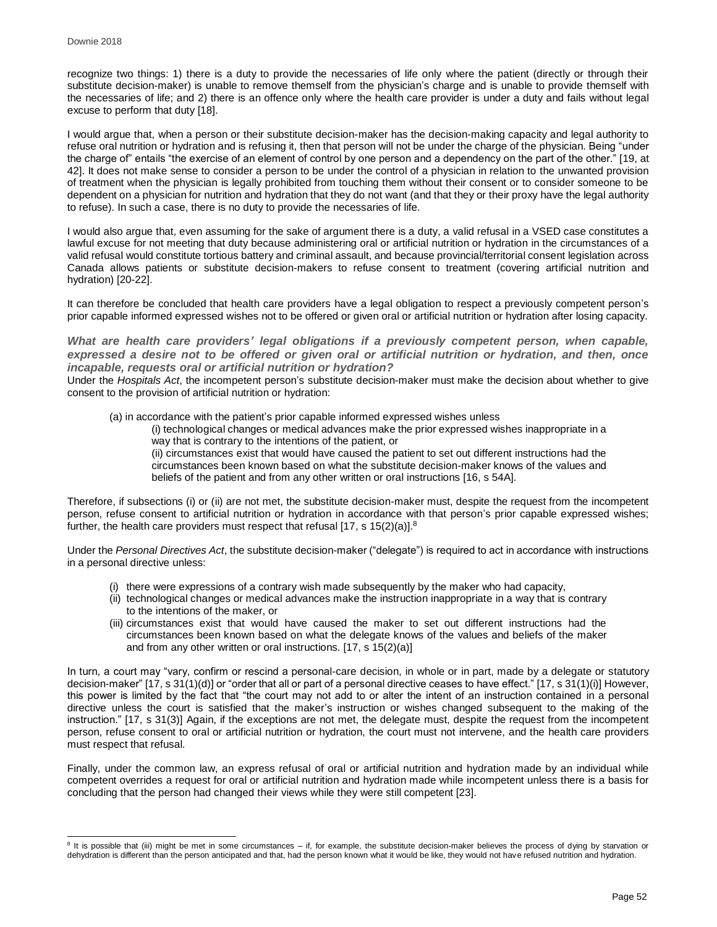l

recognize two things: 1) there is a duty to provide the necessaries of life only where the patient (directly or through their substitute decision-maker) is unable to remove themself from the physician's charge and is unable to provide themself with the necessaries of life; and 2) there is an offence only where the health care provider is under a duty and fails without legal excuse to perform that duty [18].

I would argue that, when a person or their substitute decision-maker has the decision-making capacity and legal authority to refuse oral nutrition or hydration and is refusing it, then that person will not be under the charge of the physician. Being "under the charge of" entails "the exercise of an element of control by one person and a dependency on the part of the other." [19, at 42]. It does not make sense to consider a person to be under the control of a physician in relation to the unwanted provision of treatment when the physician is legally prohibited from touching them without their consent or to consider someone to be dependent on a physician for nutrition and hydration that they do not want (and that they or their proxy have the legal authority to refuse). In such a case, there is no duty to provide the necessaries of life.

I would also argue that, even assuming for the sake of argument there is a duty, a valid refusal in a VSED case constitutes a lawful excuse for not meeting that duty because administering oral or artificial nutrition or hydration in the circumstances of a valid refusal would constitute tortious battery and criminal assault, and because provincial/territorial consent legislation across Canada allows patients or substitute decision-makers to refuse consent to treatment (covering artificial nutrition and hydration) [20-22].

It can therefore be concluded that health care providers have a legal obligation to respect a previously competent person's prior capable informed expressed wishes not to be offered or given oral or artificial nutrition or hydration after losing capacity.

*What are health care providers' legal obligations if a previously competent person, when capable, expressed a desire not to be offered or given oral or artificial nutrition or hydration, and then, once incapable, requests oral or artificial nutrition or hydration?*

Under the *Hospitals Act*, the incompetent person's substitute decision-maker must make the decision about whether to give consent to the provision of artificial nutrition or hydration:

(a) in accordance with the patient's prior capable informed expressed wishes unless

(i) technological changes or medical advances make the prior expressed wishes inappropriate in a way that is contrary to the intentions of the patient, or

(ii) circumstances exist that would have caused the patient to set out different instructions had the circumstances been known based on what the substitute decision-maker knows of the values and beliefs of the patient and from any other written or oral instructions [16, s 54A].

Therefore, if subsections (i) or (ii) are not met, the substitute decision-maker must, despite the request from the incompetent person, refuse consent to artificial nutrition or hydration in accordance with that person's prior capable expressed wishes; further, the health care providers must respect that refusal  $[17, s 15(2)(a)]$ .<sup>8</sup>

Under the *Personal Directives Act*, the substitute decision-maker ("delegate") is required to act in accordance with instructions in a personal directive unless:

- (i) there were expressions of a contrary wish made subsequently by the maker who had capacity,
- (ii) technological changes or medical advances make the instruction inappropriate in a way that is contrary to the intentions of the maker, or
- (iii) circumstances exist that would have caused the maker to set out different instructions had the circumstances been known based on what the delegate knows of the values and beliefs of the maker and from any other written or oral instructions. [17, s 15(2)(a)]

In turn, a court may "vary, confirm or rescind a personal-care decision, in whole or in part, made by a delegate or statutory decision-maker" [17, s 31(1)(d)] or "order that all or part of a personal directive ceases to have effect." [17, s 31(1)(i)] However, this power is limited by the fact that "the court may not add to or alter the intent of an instruction contained in a personal directive unless the court is satisfied that the maker's instruction or wishes changed subsequent to the making of the instruction." [17, s 31(3)] Again, if the exceptions are not met, the delegate must, despite the request from the incompetent person, refuse consent to oral or artificial nutrition or hydration, the court must not intervene, and the health care providers must respect that refusal.

Finally, under the common law, an express refusal of oral or artificial nutrition and hydration made by an individual while competent overrides a request for oral or artificial nutrition and hydration made while incompetent unless there is a basis for concluding that the person had changed their views while they were still competent [23].

<sup>&</sup>lt;sup>8</sup> It is possible that (iii) might be met in some circumstances – if, for example, the substitute decision-maker believes the process of dying by starvation or dehydration is different than the person anticipated and that, had the person known what it would be like, they would not have refused nutrition and hydration.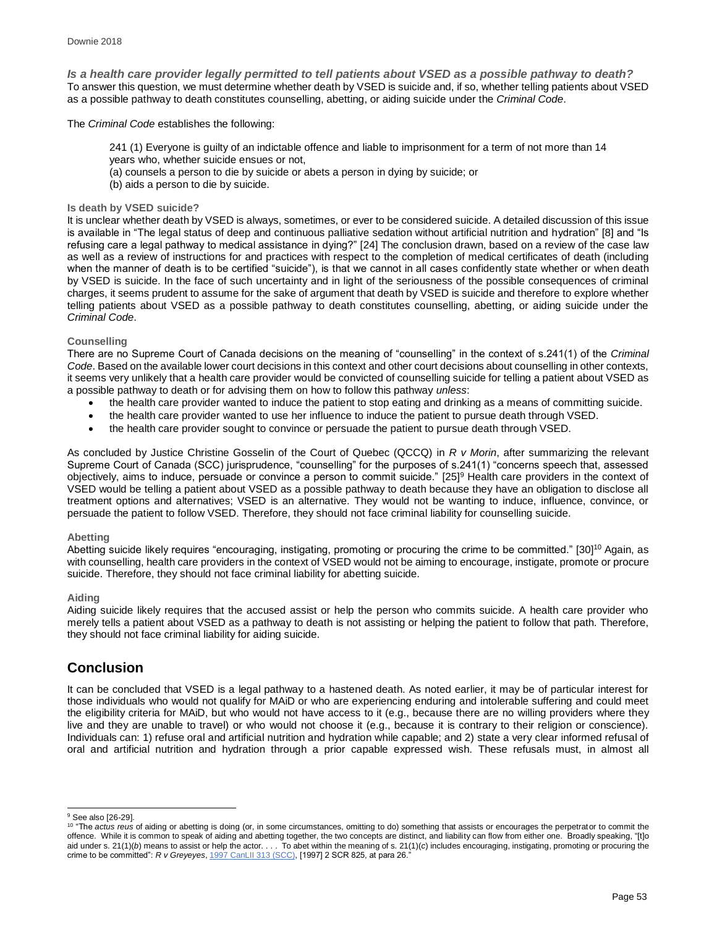*Is a health care provider legally permitted to tell patients about VSED as a possible pathway to death?* To answer this question, we must determine whether death by VSED is suicide and, if so, whether telling patients about VSED as a possible pathway to death constitutes counselling, abetting, or aiding suicide under the *Criminal Code*.

The *Criminal Code* establishes the following:

- 241 (1) Everyone is guilty of an indictable offence and liable to imprisonment for a term of not more than 14 years who, whether suicide ensues or not,
- (a) counsels a person to die by suicide or abets a person in dying by suicide; or
- (b) aids a person to die by suicide.

## **Is death by VSED suicide?**

It is unclear whether death by VSED is always, sometimes, or ever to be considered suicide. A detailed discussion of this issue is available in "The legal status of deep and continuous palliative sedation without artificial nutrition and hydration" [8] and "Is refusing care a legal pathway to medical assistance in dying?" [24] The conclusion drawn, based on a review of the case law as well as a review of instructions for and practices with respect to the completion of medical certificates of death (including when the manner of death is to be certified "suicide"), is that we cannot in all cases confidently state whether or when death by VSED is suicide. In the face of such uncertainty and in light of the seriousness of the possible consequences of criminal charges, it seems prudent to assume for the sake of argument that death by VSED is suicide and therefore to explore whether telling patients about VSED as a possible pathway to death constitutes counselling, abetting, or aiding suicide under the *Criminal Code*.

## **Counselling**

There are no Supreme Court of Canada decisions on the meaning of "counselling" in the context of s.241(1) of the *Criminal Code*. Based on the available lower court decisions in this context and other court decisions about counselling in other contexts, it seems very unlikely that a health care provider would be convicted of counselling suicide for telling a patient about VSED as a possible pathway to death or for advising them on how to follow this pathway *unless*:

- the health care provider wanted to induce the patient to stop eating and drinking as a means of committing suicide.
- the health care provider wanted to use her influence to induce the patient to pursue death through VSED.
- the health care provider sought to convince or persuade the patient to pursue death through VSED.

As concluded by Justice Christine Gosselin of the Court of Quebec (QCCQ) in *R v Morin*, after summarizing the relevant Supreme Court of Canada (SCC) jurisprudence, "counselling" for the purposes of s.241(1) "concerns speech that, assessed objectively, aims to induce, persuade or convince a person to commit suicide." [25]<sup>9</sup> Health care providers in the context of VSED would be telling a patient about VSED as a possible pathway to death because they have an obligation to disclose all treatment options and alternatives; VSED is an alternative. They would not be wanting to induce, influence, convince, or persuade the patient to follow VSED. Therefore, they should not face criminal liability for counselling suicide.

## **Abetting**

Abetting suicide likely requires "encouraging, instigating, promoting or procuring the crime to be committed." [30]<sup>10</sup> Again, as with counselling, health care providers in the context of VSED would not be aiming to encourage, instigate, promote or procure suicide. Therefore, they should not face criminal liability for abetting suicide.

## **Aiding**

Aiding suicide likely requires that the accused assist or help the person who commits suicide. A health care provider who merely tells a patient about VSED as a pathway to death is not assisting or helping the patient to follow that path. Therefore, they should not face criminal liability for aiding suicide.

## **Conclusion**

It can be concluded that VSED is a legal pathway to a hastened death. As noted earlier, it may be of particular interest for those individuals who would not qualify for MAiD or who are experiencing enduring and intolerable suffering and could meet the eligibility criteria for MAiD, but who would not have access to it (e.g., because there are no willing providers where they live and they are unable to travel) or who would not choose it (e.g., because it is contrary to their religion or conscience). Individuals can: 1) refuse oral and artificial nutrition and hydration while capable; and 2) state a very clear informed refusal of oral and artificial nutrition and hydration through a prior capable expressed wish. These refusals must, in almost all

l <sup>9</sup> See also [26-29].

<sup>10</sup> "The *actus reus* of aiding or abetting is doing (or, in some circumstances, omitting to do) something that assists or encourages the perpetrator to commit the offence. While it is common to speak of aiding and abetting together, the two concepts are distinct, and liability can flow from either one. Broadly speaking, "[t]o aid under s. 21(1)(*b*) means to assist or help the actor. . . . To abet within the meaning of s. 21(1)(*c*) includes encouraging, instigating, promoting or procuring the<br>crime to be committed": *R v Greyeyes*, <u>1997 CanL</u>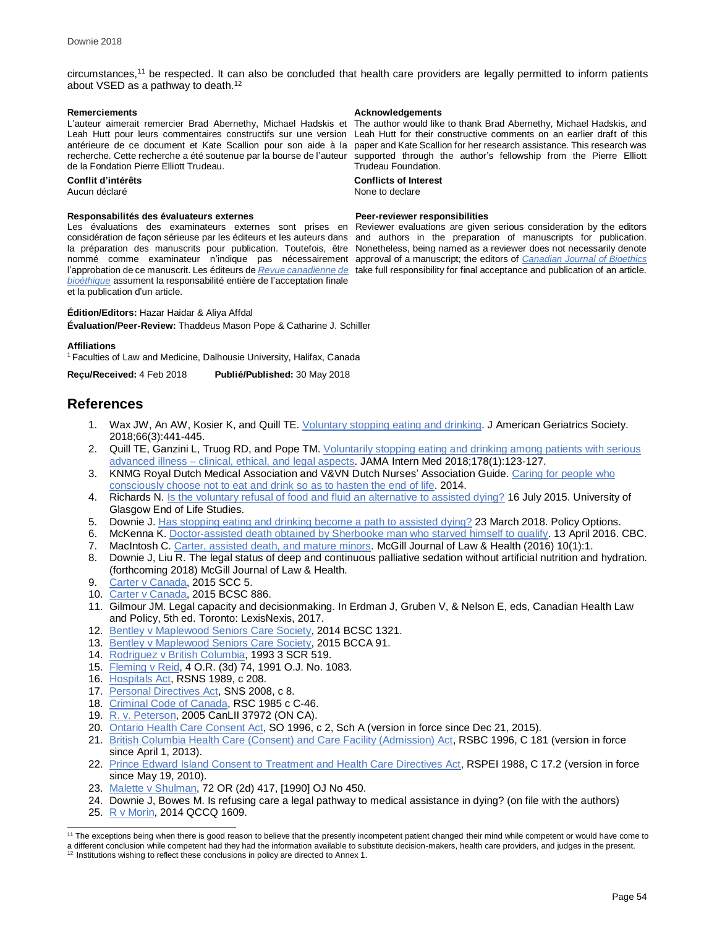circumstances,<sup>11</sup> be respected. It can also be concluded that health care providers are legally permitted to inform patients about VSED as a pathway to death. 12

L'auteur aimerait remercier Brad Abernethy, Michael Hadskis et Leah Hutt pour leurs commentaires constructifs sur une version recherche. Cette recherche a été soutenue par la bourse de l'auteur de la Fondation Pierre Elliott Trudeau.

Aucun déclaré

### **Responsabilités des évaluateurs externes Peer-reviewer responsibilities**

Les évaluations des examinateurs externes sont prises en *[bioéthique](http://cjb-rcb.ca/)* assument la responsabilité entière de l'acceptation finale et la publication d'un article.

## **Édition/Editors:** Hazar Haidar & Aliya Affdal

**Évaluation/Peer-Review:** Thaddeus Mason Pope & Catharine J. Schiller

#### **Affiliations**

<sup>1</sup> Faculties of Law and Medicine, Dalhousie University, Halifax, Canada

**Reçu/Received:** 4 Feb 2018 **Publié/Published:** 30 May 2018

## **References**

- 1. Wax JW, An AW, Kosier K, and Quill TE. [Voluntary stopping eating and drinking.](https://onlinelibrary.wiley.com/doi/abs/10.1111/jgs.15200) J American Geriatrics Society. 2018;66(3):441-445.
- 2. Quill TE, Ganzini L, Truog RD, and Pope TM. Voluntarily stopping eating and drinking among patients with serious advanced illness – [clinical, ethical, and legal aspects.](https://jamanetwork.com/journals/jamainternalmedicine/article-abstract/2661706?redirect=true) JAMA Intern Med 2018;178(1):123-127.
- 3. KNMG Royal Dutch Medical Association and V&VN Dutch Nurses' Association Guide. [Caring for people who](https://www.knmg.nl/web/file?uuid=1519ee45-2447-46a2-9cda-ec59d441f8a8&owner=5c945405-d6ca-4deb-aa16-7af2088aa173&contentid=3658)  [consciously choose not to eat and drink so as to hasten the end of life.](https://www.knmg.nl/web/file?uuid=1519ee45-2447-46a2-9cda-ec59d441f8a8&owner=5c945405-d6ca-4deb-aa16-7af2088aa173&contentid=3658) 2014.
- 4. Richards N. [Is the voluntary refusal of food and fluid an alternative to assisted dying?](http://endoflifestudies.academicblogs.co.uk/voluntary-refusal-of-food-and-fluid-as-alternative-to-assisted-dying/) 16 July 2015. University of Glasgow End of Life Studies.
- 5. Downie J. [Has stopping eating and drinking become a path to assisted dying?](http://policyoptions.irpp.org/magazines/march-2018/has-stopping-eating-and-drinking-become-a-path-to-assisted-dying/) 23 March 2018. Policy Options.
- 6. McKenna K. Doctor-assisted death obtained by Sherbooke man who starved himself to qualify. 13 April 2016. CBC.
- 7. MacIntosh C. [Carter, assisted death, and mature minors.](https://mjlh.mcgill.ca/issues/volume-10-issue-1-101-special-issue-2016/carter-medical-aid-in-dying-and-mature-minors/) McGill Journal of Law & Health (2016) 10(1):1.
- 8. Downie J, Liu R. The legal status of deep and continuous palliative sedation without artificial nutrition and hydration. (forthcoming 2018) McGill Journal of Law & Health.
- 9. [Carter v Canada,](https://scc-csc.lexum.com/scc-csc/scc-csc/en/item/14637/index.do) 2015 SCC 5.
- 10. [Carter v Canada,](https://www.canlii.org/en/bc/bcsc/doc/2012/2012bcsc886/2012bcsc886.html) 2015 BCSC 886.
- 11. Gilmour JM. Legal capacity and decisionmaking. In Erdman J, Gruben V, & Nelson E, eds, Canadian Health Law and Policy, 5th ed. Toronto: LexisNexis, 2017.
- 12. [Bentley v Maplewood Seniors Care Society,](https://www.canlii.org/en/bc/bcsc/doc/2014/2014bcsc1321/2014bcsc1321.html?searchUrlHash=AAAAAQARYmVudGxleSBtYXBsZXdvb2QAAAAAAQ&resultIndex=1) 2014 BCSC 1321.
- 13. [Bentley v Maplewood Seniors Care Society,](https://www.canlii.org/en/bc/bcca/doc/2015/2015bcca91/2015bcca91.html?searchUrlHash=AAAAAQARYmVudGxleSBtYXBsZXdvb2QAAAAAAQ&resultIndex=2.) 2015 BCCA 91.
- 14. [Rodriguez v British Columbia,](https://scc-csc.lexum.com/scc-csc/scc-csc/en/item/1054/index.do) 1993 3 SCR 519.
- 15. [Fleming v Reid,](https://www.canlii.org/en/on/onca/doc/1991/1991canlii2728/1991canlii2728.html?resultIndex=1) 4 O.R. (3d) 74, 1991 O.J. No. 1083.
- 16. [Hospitals Act,](https://www.canlii.org/en/ns/laws/stat/rsns-1989-c-208/latest/rsns-1989-c-208.html?resultIndex=1) RSNS 1989, c 208.
- 17. [Personal Directives Act,](https://www.canlii.org/en/ns/laws/stat/sns-2008-c-8/latest/sns-2008-c-8.html?autocompleteStr=personal%20directives&autocompletePos=2) SNS 2008, c 8.
- 18. [Criminal Code of Canada,](http://laws-lois.justice.gc.ca/eng/acts/C-46/) RSC 1985 c C-46.
- 19. [R. v. Peterson,](https://www.canlii.org/en/on/onca/doc/2005/2005canlii37972/2005canlii37972.html?searchUrlHash=AAAAAQAjIndpdGhkcmF3IGhpbXNlbGYgZnJvbSB0aGF0IGNoYXJnZSIAAAAAAQ&resultIndex=3) 2005 CanLII 37972 (ON CA).
- 20. [Ontario Health Care Consent Act,](https://www.canlii.org/en/on/laws/stat/so-1996-c-2-sch-a/latest/so-1996-c-2-sch-a.html?resultIndex=1) SO 1996, c 2, Sch A (version in force since Dec 21, 2015).
- 21. [British Columbia Health Care \(Consent\) and Care Facility \(Admission\) Act,](https://www.canlii.org/en/bc/laws/stat/rsbc-1996-c-181/latest/rsbc-1996-c-181.html?resultIndex=1) RSBC 1996, C 181 (version in force since April 1, 2013).
- 22. [Prince Edward Island Consent to Treatment and Health Care Directives Act,](https://www.canlii.org/en/pe/laws/stat/rspei-1988-c-c-17.2/latest/rspei-1988-c-c-17.2.html?resultIndex=1) RSPEI 1988, C 17.2 (version in force since May 19, 2010).
- 23. [Malette v Shulman,](https://www.canlii.org/en/on/onca/doc/1990/1990canlii6868/1990canlii6868.html?autocompleteStr=malette%20&autocompletePos=1) 72 OR (2d) 417, [1990] OJ No 450.
- 24. Downie J, Bowes M. Is refusing care a legal pathway to medical assistance in dying? (on file with the authors)
- 25. [R v Morin,](https://www.canlii.org/en/qc/qccq/doc/2014/2014qccq1609/2014qccq1609.html?searchUrlHash=AAAAAQAaUiB2IE1vcmluLCAyMDE0IFFDQ1EgMTYwOSAAAAAAAQ&resultIndex=1) 2014 QCCQ 1609.

## **Remerciements Acknowledgements Acknowledgements**

antérieure de ce document et Kate Scallion pour son aide à la paperand Kate Scallion for her research assistance. This research was The author would like to thank Brad Abernethy, Michael Hadskis, and Leah Hutt for their constructive comments on an earlier draft of this supported through the author's fellowship from the Pierre Elliott Trudeau Foundation.

# **Conflit d'intérêts Conflicts of Interest**

considération de façon sérieuse par les éditeurs et les auteurs dans and authors in the preparation of manuscripts for publication. la préparation des manuscrits pour publication. Toutefois, être Nonetheless, being named as a reviewer does not necessarily denote nommé comme examinateur n'indique pas nécessairement approval of a manuscript; the editors of *[Canadian Journal of Bioethics](http://cjb-rcb.ca/)* l'approbation de ce manuscrit. Les éditeurs de *[Revue canadienne de](http://cjb-rcb.ca/)*  take full responsibility for final acceptance and publication of an article. Reviewer evaluations are given serious consideration by the editors

<sup>11</sup> The exceptions being when there is good reason to believe that the presently incompetent patient changed their mind while competent or would have come to

a different conclusion while competent had they had the information available to substitute decision-makers, health care providers, and judges in the present.<br><sup>12</sup> Institutions wishing to reflect these conclusions in polic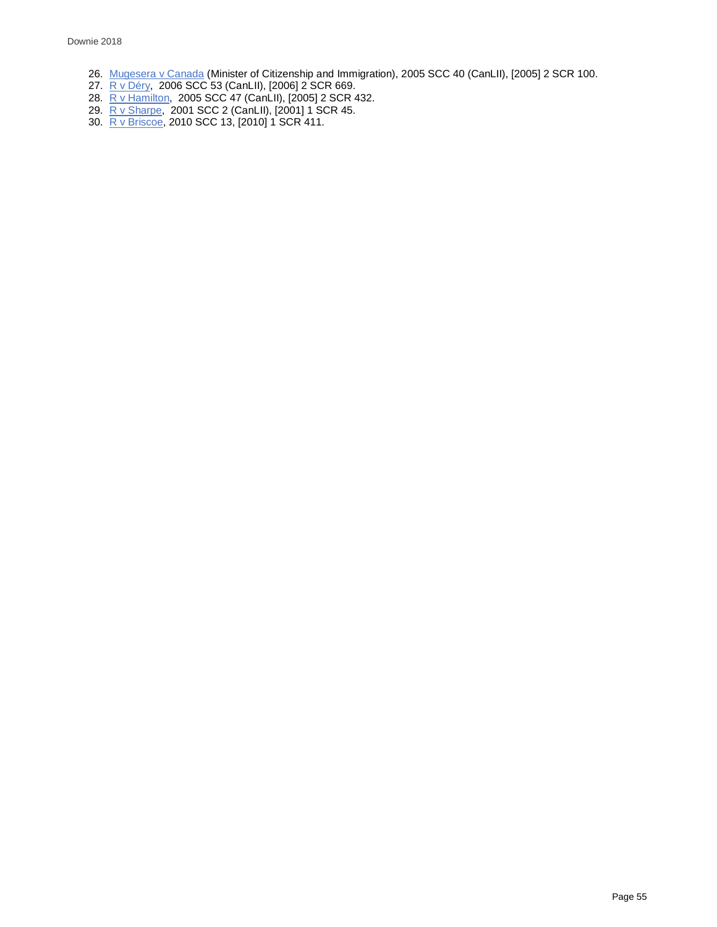- 26. [Mugesera v Canada](https://www.canlii.org/en/ca/scc/doc/2005/2005scc40/2005scc40.html) (Minister of Citizenship and Immigration), 2005 SCC 40 (CanLII), [2005] 2 SCR 100.
- 27. [R v Déry,](https://www.canlii.org/en/ca/scc/doc/2006/2006scc53/2006scc53.html) 2006 SCC 53 (CanLII), [2006] 2 SCR 669.
- 28. [R v Hamilton,](https://www.canlii.org/en/ca/scc/doc/2005/2005scc47/2005scc47.html) 2005 SCC 47 (CanLII), [2005] 2 SCR 432.
- 29. [R v Sharpe,](https://www.canlii.org/en/ca/scc/doc/2001/2001scc2/2001scc2.html) 2001 SCC 2 (CanLII), [2001] 1 SCR 45.
- 30. <u>R v Briscoe,</u> 2010 SCC 13, [2010] 1 SCR 411.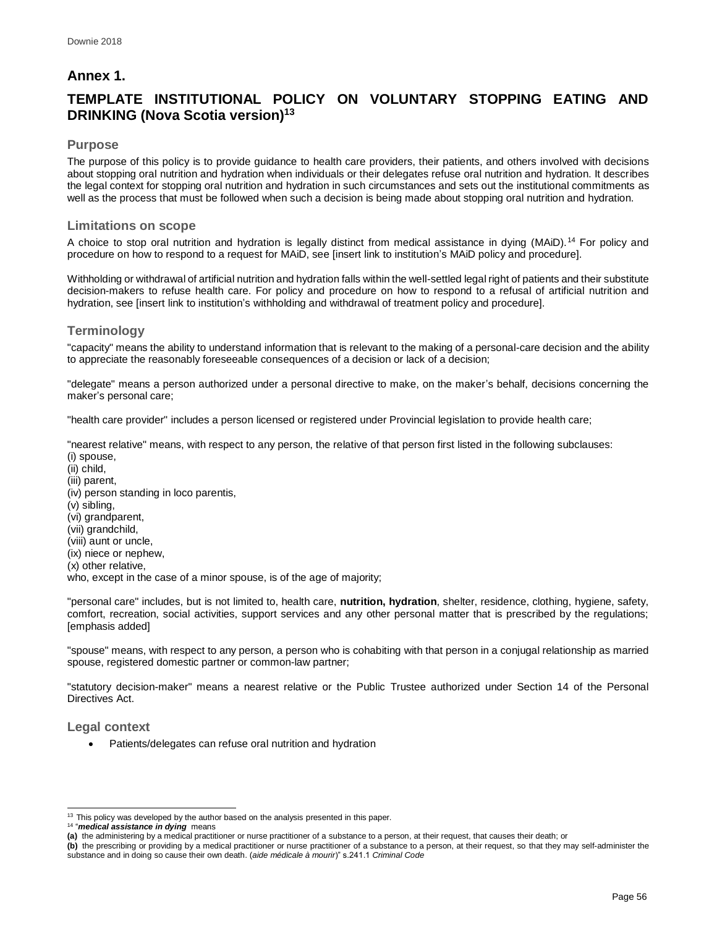## **Annex 1.**

# **TEMPLATE INSTITUTIONAL POLICY ON VOLUNTARY STOPPING EATING AND DRINKING (Nova Scotia version)<sup>13</sup>**

## **Purpose**

The purpose of this policy is to provide guidance to health care providers, their patients, and others involved with decisions about stopping oral nutrition and hydration when individuals or their delegates refuse oral nutrition and hydration. It describes the legal context for stopping oral nutrition and hydration in such circumstances and sets out the institutional commitments as well as the process that must be followed when such a decision is being made about stopping oral nutrition and hydration.

## **Limitations on scope**

A choice to stop oral nutrition and hydration is legally distinct from medical assistance in dying (MAiD).<sup>14</sup> For policy and procedure on how to respond to a request for MAiD, see [insert link to institution's MAiD policy and procedure].

Withholding or withdrawal of artificial nutrition and hydration falls within the well-settled legal right of patients and their substitute decision-makers to refuse health care. For policy and procedure on how to respond to a refusal of artificial nutrition and hydration, see [insert link to institution's withholding and withdrawal of treatment policy and procedure].

## **Terminology**

"capacity" means the ability to understand information that is relevant to the making of a personal-care decision and the ability to appreciate the reasonably foreseeable consequences of a decision or lack of a decision;

"delegate" means a person authorized under a personal directive to make, on the maker's behalf, decisions concerning the maker's personal care;

"health care provider" includes a person licensed or registered under Provincial legislation to provide health care;

"nearest relative" means, with respect to any person, the relative of that person first listed in the following subclauses: (i) spouse,

- (ii) child, (iii) parent,
- (iv) person standing in loco parentis,
- (v) sibling,
- (vi) grandparent,
- (vii) grandchild,
- (viii) aunt or uncle,
- (ix) niece or nephew,
- (x) other relative,

who, except in the case of a minor spouse, is of the age of majority;

"personal care" includes, but is not limited to, health care, **nutrition, hydration**, shelter, residence, clothing, hygiene, safety, comfort, recreation, social activities, support services and any other personal matter that is prescribed by the regulations; [emphasis added]

"spouse" means, with respect to any person, a person who is cohabiting with that person in a conjugal relationship as married spouse, registered domestic partner or common-law partner;

"statutory decision-maker" means a nearest relative or the Public Trustee authorized under Section 14 of the Personal Directives Act.

## **Legal context**

• Patients/delegates can refuse oral nutrition and hydration

14 "*medical assistance in dying* means

l <sup>13</sup> This policy was developed by the author based on the analysis presented in this paper.

**<sup>(</sup>a)** the administering by a medical practitioner or nurse practitioner of a substance to a person, at their request, that causes their death; or

**<sup>(</sup>b)** the prescribing or providing by a medical practitioner or nurse practitioner of a substance to a person, at their request, so that they may self-administer the substance and in doing so cause their own death. (*aide médicale à mourir*)" s.241.1 *Criminal Code*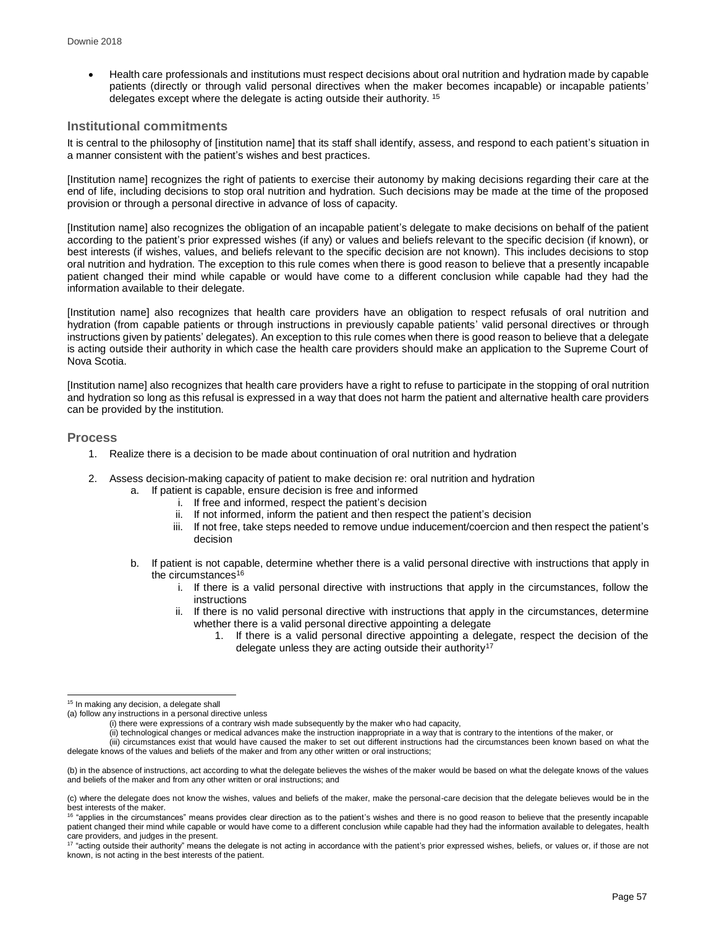• Health care professionals and institutions must respect decisions about oral nutrition and hydration made by capable patients (directly or through valid personal directives when the maker becomes incapable) or incapable patients' delegates except where the delegate is acting outside their authority. <sup>15</sup>

## **Institutional commitments**

It is central to the philosophy of [institution name] that its staff shall identify, assess, and respond to each patient's situation in a manner consistent with the patient's wishes and best practices.

[Institution name] recognizes the right of patients to exercise their autonomy by making decisions regarding their care at the end of life, including decisions to stop oral nutrition and hydration. Such decisions may be made at the time of the proposed provision or through a personal directive in advance of loss of capacity.

[Institution name] also recognizes the obligation of an incapable patient's delegate to make decisions on behalf of the patient according to the patient's prior expressed wishes (if any) or values and beliefs relevant to the specific decision (if known), or best interests (if wishes, values, and beliefs relevant to the specific decision are not known). This includes decisions to stop oral nutrition and hydration. The exception to this rule comes when there is good reason to believe that a presently incapable patient changed their mind while capable or would have come to a different conclusion while capable had they had the information available to their delegate.

[Institution name] also recognizes that health care providers have an obligation to respect refusals of oral nutrition and hydration (from capable patients or through instructions in previously capable patients' valid personal directives or through instructions given by patients' delegates). An exception to this rule comes when there is good reason to believe that a delegate is acting outside their authority in which case the health care providers should make an application to the Supreme Court of Nova Scotia.

[Institution name] also recognizes that health care providers have a right to refuse to participate in the stopping of oral nutrition and hydration so long as this refusal is expressed in a way that does not harm the patient and alternative health care providers can be provided by the institution.

## **Process**

- 1. Realize there is a decision to be made about continuation of oral nutrition and hydration
- 2. Assess decision-making capacity of patient to make decision re: oral nutrition and hydration
	- a. If patient is capable, ensure decision is free and informed
		- i. If free and informed, respect the patient's decision
		- ii. If not informed, inform the patient and then respect the patient's decision
		- iii. If not free, take steps needed to remove undue inducement/coercion and then respect the patient's decision
	- b. If patient is not capable, determine whether there is a valid personal directive with instructions that apply in the circumstances<sup>16</sup>
		- i. If there is a valid personal directive with instructions that apply in the circumstances, follow the instructions
		- ii. If there is no valid personal directive with instructions that apply in the circumstances, determine whether there is a valid personal directive appointing a delegate
			- If there is a valid personal directive appointing a delegate, respect the decision of the delegate unless they are acting outside their authority<sup>17</sup>

<sup>&</sup>lt;sup>15</sup> In making any decision, a delegate shall

<sup>(</sup>a) follow any instructions in a personal directive unless

 $(i)$  there were expressions of a contrary wish made subsequently by the maker who had capacity,

<sup>(</sup>ii) technological changes or medical advances make the instruction inappropriate in a way that is contrary to the intentions of the maker, or

<sup>(</sup>iii) circumstances exist that would have caused the maker to set out different instructions had the circumstances been known based on what the delegate knows of the values and beliefs of the maker and from any other written or oral instructions;

<sup>(</sup>b) in the absence of instructions, act according to what the delegate believes the wishes of the maker would be based on what the delegate knows of the values and beliefs of the maker and from any other written or oral instructions; and

<sup>(</sup>c) where the delegate does not know the wishes, values and beliefs of the maker, make the personal-care decision that the delegate believes would be in the best interests of the maker.<br><sup>16</sup> "applies in the circumstances" means provides clear direction as to the patient's wishes and there is no good reason to believe that the presently incapable

patient changed their mind while capable or would have come to a different conclusion while capable had they had the information available to delegates, health

care providers, and judges in the present.<br><sup>17</sup> "acting outside their authority" means the delegate is not acting in accordance with the patient's prior expressed wishes, beliefs, or values or, if those are not known, is not acting in the best interests of the patient.